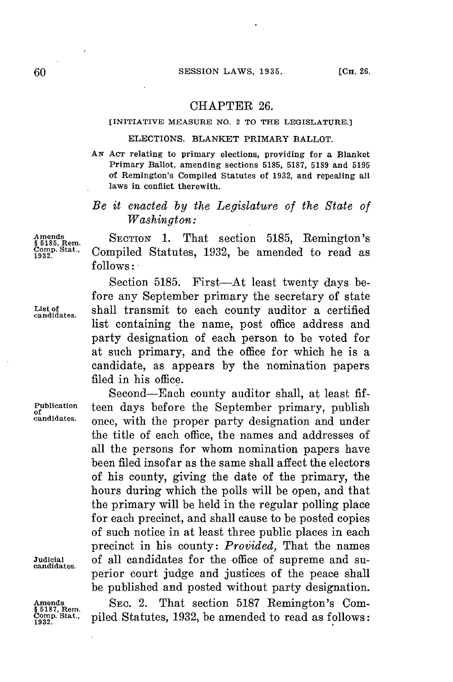## CHAPTER **26.**

#### **[INITIATIVE MEASURE NO. 2 TO THE LEGISLATURE.]**

### **ELECTIONS. BLANKET PRIMARY BALLOT.**

**AN AcT relating to primary elections, providing for a Blanket Primary Ballot, amending sections 5185, 5187, 5189 and 5195 of Remington's Compiled Statutes of 1932, and repealing all laws in conflict therewith.**

# *Be it enacted by the Legislature of the State of Washington:*

**Amends SECTION 1.** That section **5185,** Remington's **§ 5185, Rem. on3p.Stat.,** Compiled Statutes, **1932,** be amended to read as **follows:**

Section 5185. First-At least twenty days before any September primary the secretary of state List of shall transmit to each county auditor a certified list containing the name, post office address and party designation of each person to be voted for at such primary, and the office for which he is a candidate, as appears **by** the nomination papers filed in his office.

Second-Each county auditor shall, at least **fif-Publication teen days before the September primary, publish candidates.** once with the present party designation and under once, with the proper party designation and under the title of each office, the names and addresses of all the persons for whom nomination papers have been filed insofar as the same shall affect the electors of his county, giving the date of the primary, the hours during which the polls will be open, and that the primary will be held in the regular polling place for each precinct, and shall cause to be posted copies of such notice in at least three public places in each precinct in his county: *Provided,* That the names **Judicial** of all candidates for the office of supreme and su- **candidates.** perior court judge and justices of the peace shall be published and posted without party designation.

Amends **SEC. 2. That section 5187 Remington's Com-** \$5187, Rem. comp. Stat., niled Statutes, 1932, be amended to read as follows: **Conp.** Stat., piled Statutes, **1932,** be amended to read as follows: **1932.**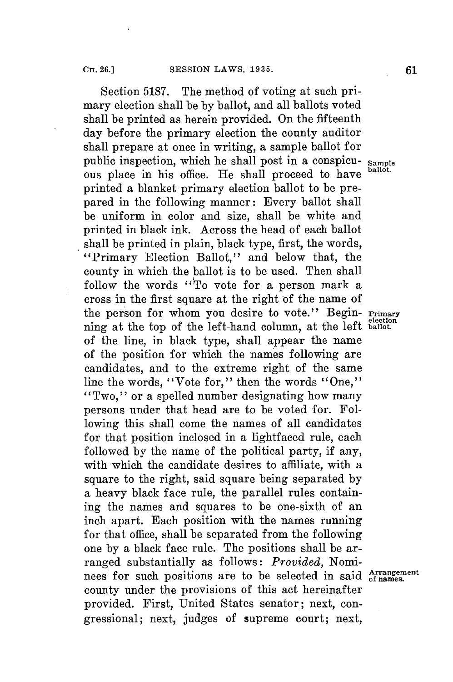Section **5187.** The method of voting at such primary election shall be **by** ballot, and all ballots voted shall be printed as herein provided. On the fifteenth day before the primary election the county auditor shall prepare at once in writing, a sample ballot for public inspection, which he shall post in a conspicu- **sample** ous place in his office. He shall proceed to have printed a blanket primary election ballot to be prepared in the following manner: Every ballot shall be uniform in color and size, shall be white and printed in black ink. Across the head of each ballot shall be printed in plain, black type, first, the words, "Primary Election Ballot," and below that, the county in which the ballot is to be used. Then shall follow the words "To vote for a person mark a cross in the first square at the right of the name of the person for whom you desire to vote." Begin- **Primary** ning at the top of the left-hand column, at the left **ballot**. of the line, in black type, shall appear the name of the position for which the names following are candidates, and to the extreme right of the same line the words, "Vote for," then the words "One," "Two," or a spelled number designating how many persons under that head are to be voted for. Following this shall come the names of all candidates for that position inclosed in a lightfaced rule, each followed **by** the name of the political party, if any, with which the candidate desires to affiliate, with a square to the right, said square being separated **by** a heavy black face rule, the parallel rules containing the names and squares to be one-sixth of an inch apart. Each position with the names running for that office, shall be separated from the following one **by** a black face rule. The positions shall be arranged substantially as follows: *Provided,* Nominees for such positions are to be selected in said **gf** names. county under the provisions of this act hereinafter provided. First, United States senator; next, congressional; next, judges of supreme court; next,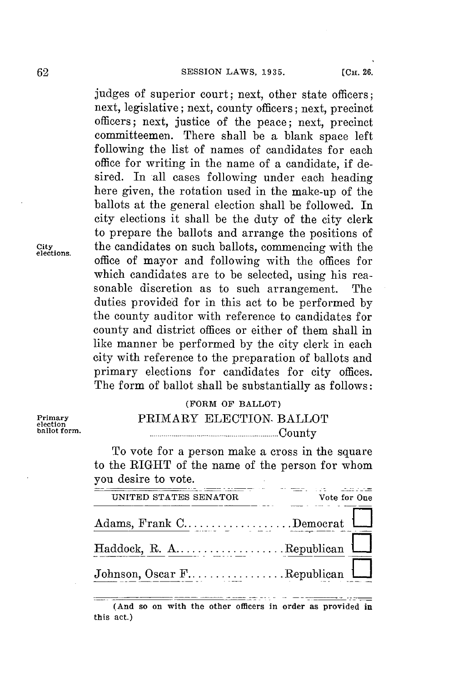judges of superior court; next, other state officers; next, legislative; next, county officers; next, precinct officers; next, justice of the peace; next, precinct committeemen. There shall be a blank space left following the list of names of candidates for each office **for** writing in the name of a candidate, if desired. In all cases following under each heading here given, the rotation used in the make-up of the ballots at the general election shall **be** followed. In city elections it shall be the duty of the city clerk to prepare the ballots and arrange the positions of the candidates on such ballots, commencing with the city the candidates on such ballots, commencing with the **elections.** office of mayor and following with the offices for which candidates are to **be** selected, using his reasonable discretion as to such arrangement. The duties provided for in this act to be performed **by** the county auditor with reference to candidates for county and district offices or either of them shall in like manner be performed **by** the city clerk in each city with reference to the preparation of ballots and primary elections for candidates for city offices. The form of ballot shall be substantially as follows:

# **(FORM OF BALLOT) PRIMARY ELECTION- BALLOT**<br> **PRIMARY ELECTION- BALLOT**<br> **equation ballot form . .................................................................. C** ou n ty

To vote for a person make a cross in the square to the RIGHT of the name of the person for whom you desire to vote.

| UNITED STATES SENATOR                                                                                                              | Vote for One |  |
|------------------------------------------------------------------------------------------------------------------------------------|--------------|--|
| Adams, Frank C.                                                                                                                    |              |  |
| $\operatorname{Haddock}, \; \mathrm{R.} \; \mathrm{A.} \ldots \ldots \ldots \ldots \ldots \ldots \mathrm{Republican} \; \bigsqcup$ |              |  |
| Johnson, Oscar FRepublican                                                                                                         |              |  |

**<sup>(</sup>And so on with the other officers in order as provided in this act.)**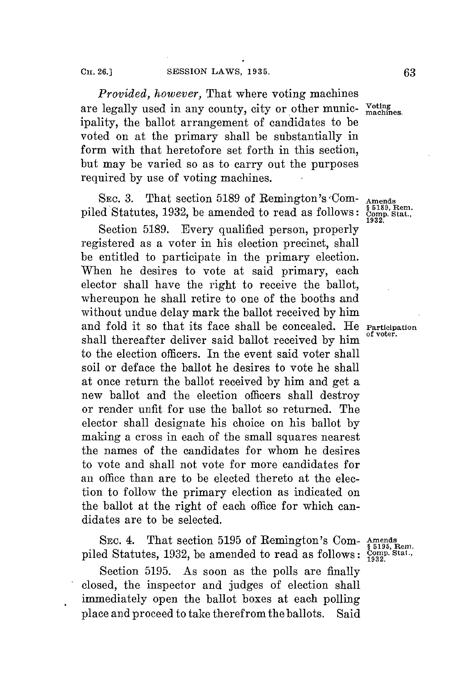*Provided, however,* That where voting machines are legally used in any county, city or other munic- voting ipality, the ballot arrangement of candidates to be voted on at the primary shall be substantially in form with that heretofore set forth in this section, but may be varied so as to carry out the purposes required **by** use of voting machines.

SEC. 3. That section 5189 of Remington's Com- **Amends**<br>ed Statutes, 1932, be amended to read as follows: Comp. Stat., piled Statutes, 1932, be amended to read as follows:  $\frac{$518}{1932}$ 

Section **5189.** Every qualified person, properly registered as a voter in his election precinct, shall be entitled to participate in the primary election. When he desires to vote at said primary, each elector shall have the right to receive the ballot, whereupon he shall retire to one of the booths and without undue delay mark the ballot received **by** him and fold it so that its face shall be concealed. He **Participation** shall thereafter deliver said ballot received by him to the election officers. In the event said voter shall soil or deface the ballot he desires to vote he shall at once return the ballot received **by** him and get a new ballot and the election officers shall destroy or render unfit for use the ballot so returned. The elector shall designate his choice on his ballot **by** making a cross in each of the small squares nearest the names of the candidates for whom he desires to vote and shall not vote for more candidates for an office than are to be elected thereto at the election to follow the primary election as indicated on the ballot at the right of each office for which candidates are to be selected.

SEC. 4. That section 5195 of Remington's Com- Amends 6195, Rem.<br>
In Statutes, 1932, be amended to read as follows:  $\frac{\text{Comps}}{1932}$ . piled Statutes, 1932, be amended to read as follows:

Section **5195.** As soon as the polls are finally closed, the inspector and judges of election shall immediately open the ballot boxes at each polling place and proceed to take therefrom the ballots. Said